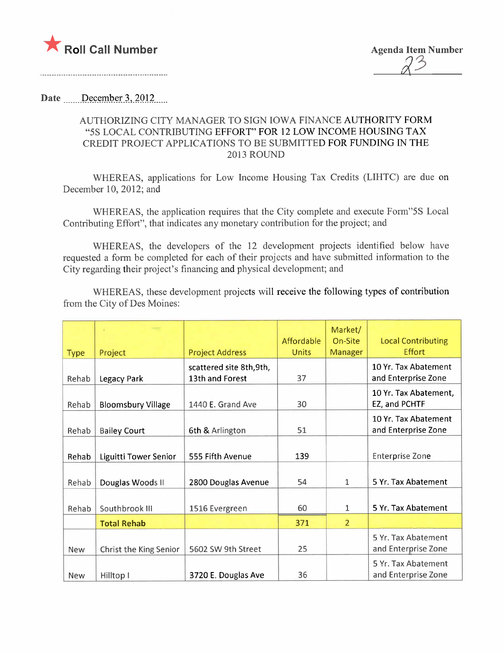

## Date December 3, 2012

## AUTHORIZING CITY MANAGER TO SIGN IOWA FINANCE AUTHORITY FORM "5S LOCAL CONTRIBUTING EFFORT" FOR 12 LOW INCOME HOUSING TAX CREDIT PROJECT APPLICATIONS TO BE SUBMITTED FOR FUNDING IN THE 2013 ROUND

WHEREAS, applications for Low Income Housing Tax Credits (LIHTC) are due on December 10, 2012; and

WHEREAS, the application requires that the City complete and execute Form"5S Local Contributing Effort", that indicates any monetary contribution for the project; and

WHEREAS, the developers of the 12 development projects identified below have requested a form be completed for each of their projects and have submitted information to the City regarding their project's financing and physical development; and

WHEREAS, these development projects will receive the following types of contribution from the City of Des Moines:

| <b>Type</b> | Project                   | <b>Project Address</b>                      | Affordable<br>Units | Market/<br>On-Site<br>Manager | <b>Local Contributing</b><br><b>Effort</b>  |
|-------------|---------------------------|---------------------------------------------|---------------------|-------------------------------|---------------------------------------------|
| Rehab       | Legacy Park               | scattered site 8th, 9th,<br>13th and Forest | 37                  |                               | 10 Yr. Tax Abatement<br>and Enterprise Zone |
| Rehab       | <b>Bloomsbury Village</b> | 1440 E. Grand Ave                           | 30                  |                               | 10 Yr. Tax Abatement,<br>EZ, and PCHTF      |
| Rehab       | <b>Bailey Court</b>       | 6th & Arlington                             | 51                  |                               | 10 Yr. Tax Abatement<br>and Enterprise Zone |
| Rehab       | Liguitti Tower Senior     | 555 Fifth Avenue                            | 139                 |                               | <b>Enterprise Zone</b>                      |
| Rehab       | Douglas Woods II          | 2800 Douglas Avenue                         | 54                  | $\mathbf{1}$                  | 5 Yr. Tax Abatement                         |
| Rehab       | Southbrook III            | 1516 Evergreen                              | 60                  | 1                             | 5 Yr. Tax Abatement                         |
|             | <b>Total Rehab</b>        |                                             | 371                 | $\overline{2}$                |                                             |
| <b>New</b>  | Christ the King Senior    | 5602 SW 9th Street                          | 25                  |                               | 5 Yr. Tax Abatement<br>and Enterprise Zone  |
| <b>New</b>  | Hilltop I                 | 3720 E. Douglas Ave                         | 36                  |                               | 5 Yr. Tax Abatement<br>and Enterprise Zone  |